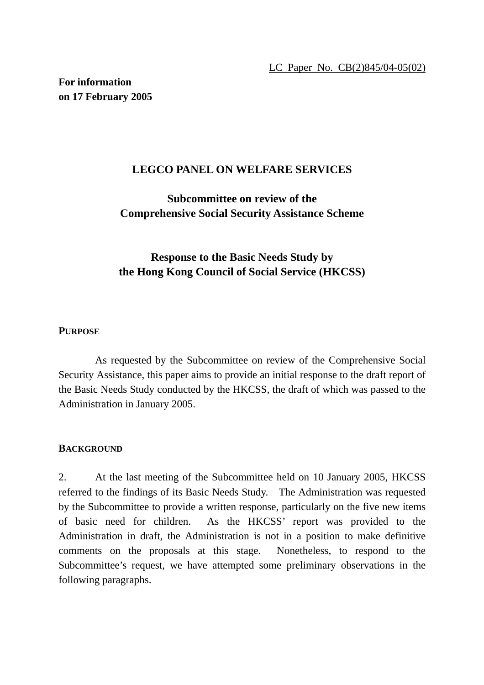**For information on 17 February 2005** 

## **LEGCO PANEL ON WELFARE SERVICES**

## **Subcommittee on review of the Comprehensive Social Security Assistance Scheme**

# **Response to the Basic Needs Study by the Hong Kong Council of Social Service (HKCSS)**

### **PURPOSE**

 As requested by the Subcommittee on review of the Comprehensive Social Security Assistance, this paper aims to provide an initial response to the draft report of the Basic Needs Study conducted by the HKCSS, the draft of which was passed to the Administration in January 2005.

#### **BACKGROUND**

2. At the last meeting of the Subcommittee held on 10 January 2005, HKCSS referred to the findings of its Basic Needs Study. The Administration was requested by the Subcommittee to provide a written response, particularly on the five new items of basic need for children. As the HKCSS' report was provided to the Administration in draft, the Administration is not in a position to make definitive comments on the proposals at this stage. Nonetheless, to respond to the Subcommittee's request, we have attempted some preliminary observations in the following paragraphs.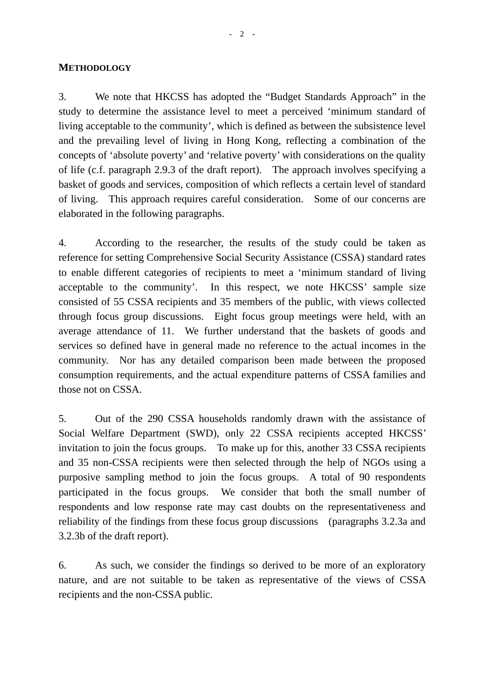#### **METHODOLOGY**

3. We note that HKCSS has adopted the "Budget Standards Approach" in the study to determine the assistance level to meet a perceived 'minimum standard of living acceptable to the community', which is defined as between the subsistence level and the prevailing level of living in Hong Kong, reflecting a combination of the concepts of 'absolute poverty' and 'relative poverty' with considerations on the quality of life (c.f. paragraph 2.9.3 of the draft report). The approach involves specifying a basket of goods and services, composition of which reflects a certain level of standard of living. This approach requires careful consideration. Some of our concerns are elaborated in the following paragraphs.

4. According to the researcher, the results of the study could be taken as reference for setting Comprehensive Social Security Assistance (CSSA) standard rates to enable different categories of recipients to meet a 'minimum standard of living acceptable to the community'. In this respect, we note HKCSS' sample size consisted of 55 CSSA recipients and 35 members of the public, with views collected through focus group discussions. Eight focus group meetings were held, with an average attendance of 11. We further understand that the baskets of goods and services so defined have in general made no reference to the actual incomes in the community. Nor has any detailed comparison been made between the proposed consumption requirements, and the actual expenditure patterns of CSSA families and those not on CSSA.

5. Out of the 290 CSSA households randomly drawn with the assistance of Social Welfare Department (SWD), only 22 CSSA recipients accepted HKCSS' invitation to join the focus groups. To make up for this, another 33 CSSA recipients and 35 non-CSSA recipients were then selected through the help of NGOs using a purposive sampling method to join the focus groups. A total of 90 respondents participated in the focus groups. We consider that both the small number of respondents and low response rate may cast doubts on the representativeness and reliability of the findings from these focus group discussions (paragraphs 3.2.3a and 3.2.3b of the draft report).

6. As such, we consider the findings so derived to be more of an exploratory nature, and are not suitable to be taken as representative of the views of CSSA recipients and the non-CSSA public.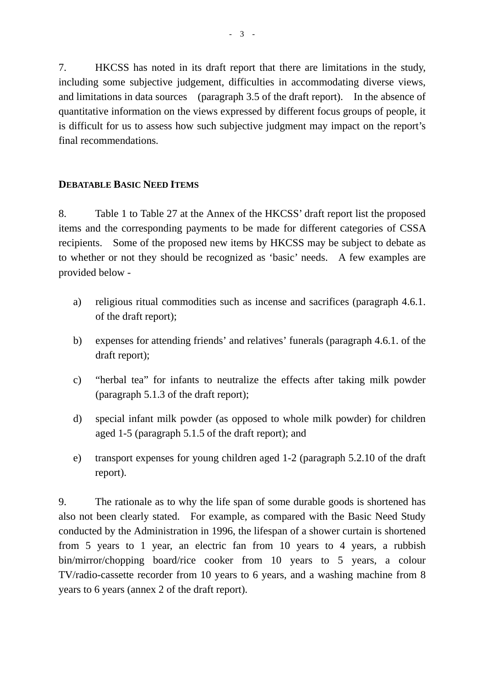7. HKCSS has noted in its draft report that there are limitations in the study, including some subjective judgement, difficulties in accommodating diverse views, and limitations in data sources (paragraph 3.5 of the draft report). In the absence of quantitative information on the views expressed by different focus groups of people, it is difficult for us to assess how such subjective judgment may impact on the report's final recommendations.

## **DEBATABLE BASIC NEED ITEMS**

8. Table 1 to Table 27 at the Annex of the HKCSS' draft report list the proposed items and the corresponding payments to be made for different categories of CSSA recipients. Some of the proposed new items by HKCSS may be subject to debate as to whether or not they should be recognized as 'basic' needs. A few examples are provided below -

- a) religious ritual commodities such as incense and sacrifices (paragraph 4.6.1. of the draft report);
- b) expenses for attending friends' and relatives' funerals (paragraph 4.6.1. of the draft report);
- c) "herbal tea" for infants to neutralize the effects after taking milk powder (paragraph 5.1.3 of the draft report);
- d) special infant milk powder (as opposed to whole milk powder) for children aged 1-5 (paragraph 5.1.5 of the draft report); and
- e) transport expenses for young children aged 1-2 (paragraph 5.2.10 of the draft report).

9. The rationale as to why the life span of some durable goods is shortened has also not been clearly stated. For example, as compared with the Basic Need Study conducted by the Administration in 1996, the lifespan of a shower curtain is shortened from 5 years to 1 year, an electric fan from 10 years to 4 years, a rubbish bin/mirror/chopping board/rice cooker from 10 years to 5 years, a colour TV/radio-cassette recorder from 10 years to 6 years, and a washing machine from 8 years to 6 years (annex 2 of the draft report).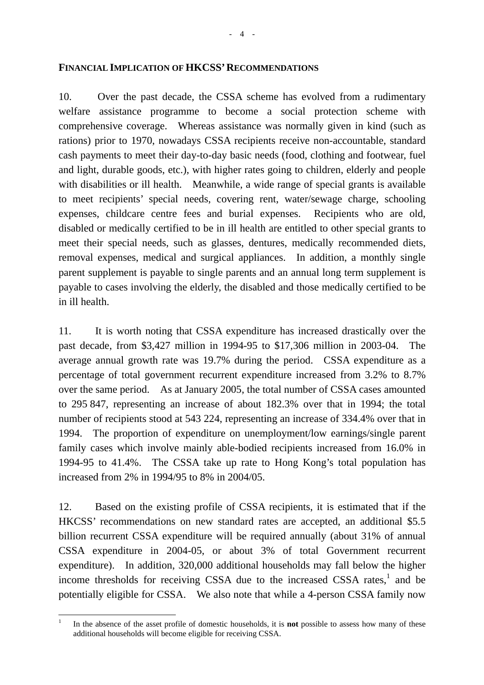10. Over the past decade, the CSSA scheme has evolved from a rudimentary welfare assistance programme to become a social protection scheme with comprehensive coverage. Whereas assistance was normally given in kind (such as rations) prior to 1970, nowadays CSSA recipients receive non-accountable, standard cash payments to meet their day-to-day basic needs (food, clothing and footwear, fuel and light, durable goods, etc.), with higher rates going to children, elderly and people with disabilities or ill health. Meanwhile, a wide range of special grants is available to meet recipients' special needs, covering rent, water/sewage charge, schooling expenses, childcare centre fees and burial expenses. Recipients who are old, disabled or medically certified to be in ill health are entitled to other special grants to meet their special needs, such as glasses, dentures, medically recommended diets, removal expenses, medical and surgical appliances. In addition, a monthly single parent supplement is payable to single parents and an annual long term supplement is payable to cases involving the elderly, the disabled and those medically certified to be in ill health.

11. It is worth noting that CSSA expenditure has increased drastically over the past decade, from \$3,427 million in 1994-95 to \$17,306 million in 2003-04. The average annual growth rate was 19.7% during the period. CSSA expenditure as a percentage of total government recurrent expenditure increased from 3.2% to 8.7% over the same period. As at January 2005, the total number of CSSA cases amounted to 295 847, representing an increase of about 182.3% over that in 1994; the total number of recipients stood at 543 224, representing an increase of 334.4% over that in 1994. The proportion of expenditure on unemployment/low earnings/single parent family cases which involve mainly able-bodied recipients increased from 16.0% in 1994-95 to 41.4%. The CSSA take up rate to Hong Kong's total population has increased from 2% in 1994/95 to 8% in 2004/05.

12. Based on the existing profile of CSSA recipients, it is estimated that if the HKCSS' recommendations on new standard rates are accepted, an additional \$5.5 billion recurrent CSSA expenditure will be required annually (about 31% of annual CSSA expenditure in 2004-05, or about 3% of total Government recurrent expenditure). In addition, 320,000 additional households may fall below the higher income thresholds for receiving CSSA due to the increased CSSA rates, $<sup>1</sup>$  and be</sup> potentially eligible for CSSA. We also note that while a 4-person CSSA family now

 $\frac{1}{1}$  In the absence of the asset profile of domestic households, it is **not** possible to assess how many of these additional households will become eligible for receiving CSSA.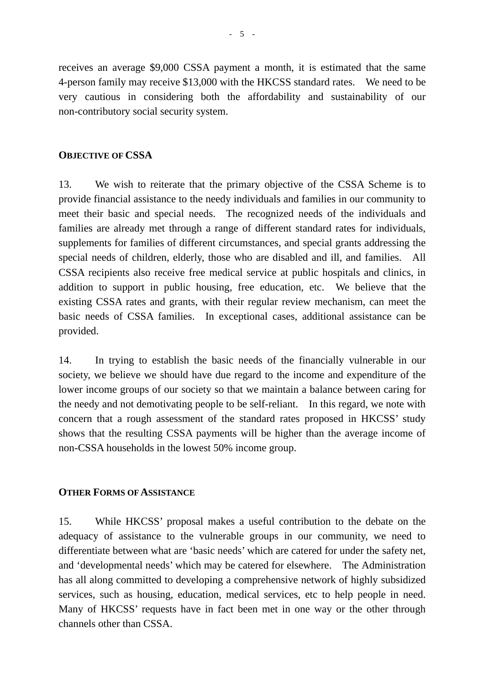receives an average \$9,000 CSSA payment a month, it is estimated that the same 4-person family may receive \$13,000 with the HKCSS standard rates. We need to be very cautious in considering both the affordability and sustainability of our non-contributory social security system.

#### **OBJECTIVE OF CSSA**

13. We wish to reiterate that the primary objective of the CSSA Scheme is to provide financial assistance to the needy individuals and families in our community to meet their basic and special needs. The recognized needs of the individuals and families are already met through a range of different standard rates for individuals, supplements for families of different circumstances, and special grants addressing the special needs of children, elderly, those who are disabled and ill, and families. All CSSA recipients also receive free medical service at public hospitals and clinics, in addition to support in public housing, free education, etc. We believe that the existing CSSA rates and grants, with their regular review mechanism, can meet the basic needs of CSSA families. In exceptional cases, additional assistance can be provided.

14. In trying to establish the basic needs of the financially vulnerable in our society, we believe we should have due regard to the income and expenditure of the lower income groups of our society so that we maintain a balance between caring for the needy and not demotivating people to be self-reliant. In this regard, we note with concern that a rough assessment of the standard rates proposed in HKCSS' study shows that the resulting CSSA payments will be higher than the average income of non-CSSA households in the lowest 50% income group.

### **OTHER FORMS OF ASSISTANCE**

15. While HKCSS' proposal makes a useful contribution to the debate on the adequacy of assistance to the vulnerable groups in our community, we need to differentiate between what are 'basic needs' which are catered for under the safety net, and 'developmental needs' which may be catered for elsewhere. The Administration has all along committed to developing a comprehensive network of highly subsidized services, such as housing, education, medical services, etc to help people in need. Many of HKCSS' requests have in fact been met in one way or the other through channels other than CSSA.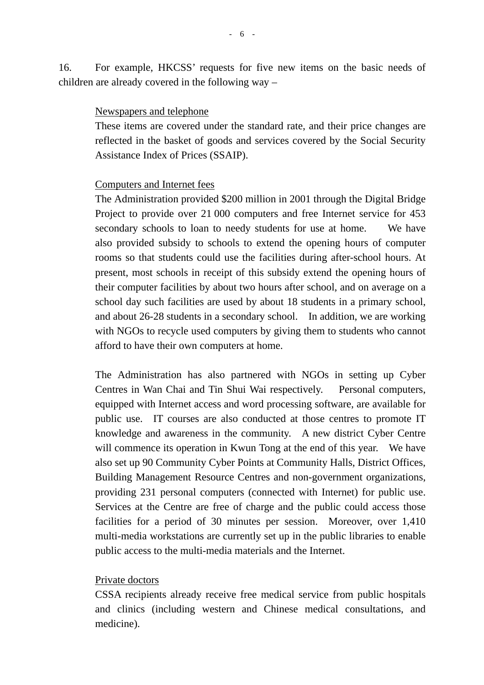16. For example, HKCSS' requests for five new items on the basic needs of children are already covered in the following way –

#### Newspapers and telephone

These items are covered under the standard rate, and their price changes are reflected in the basket of goods and services covered by the Social Security Assistance Index of Prices (SSAIP).

#### Computers and Internet fees

The Administration provided \$200 million in 2001 through the Digital Bridge Project to provide over 21 000 computers and free Internet service for 453 secondary schools to loan to needy students for use at home. We have also provided subsidy to schools to extend the opening hours of computer rooms so that students could use the facilities during after-school hours. At present, most schools in receipt of this subsidy extend the opening hours of their computer facilities by about two hours after school, and on average on a school day such facilities are used by about 18 students in a primary school, and about 26-28 students in a secondary school. In addition, we are working with NGOs to recycle used computers by giving them to students who cannot afford to have their own computers at home.

The Administration has also partnered with NGOs in setting up Cyber Centres in Wan Chai and Tin Shui Wai respectively. Personal computers, equipped with Internet access and word processing software, are available for public use. IT courses are also conducted at those centres to promote IT knowledge and awareness in the community. A new district Cyber Centre will commence its operation in Kwun Tong at the end of this year. We have also set up 90 Community Cyber Points at Community Halls, District Offices, Building Management Resource Centres and non-government organizations, providing 231 personal computers (connected with Internet) for public use. Services at the Centre are free of charge and the public could access those facilities for a period of 30 minutes per session. Moreover, over 1,410 multi-media workstations are currently set up in the public libraries to enable public access to the multi-media materials and the Internet.

### Private doctors

CSSA recipients already receive free medical service from public hospitals and clinics (including western and Chinese medical consultations, and medicine).